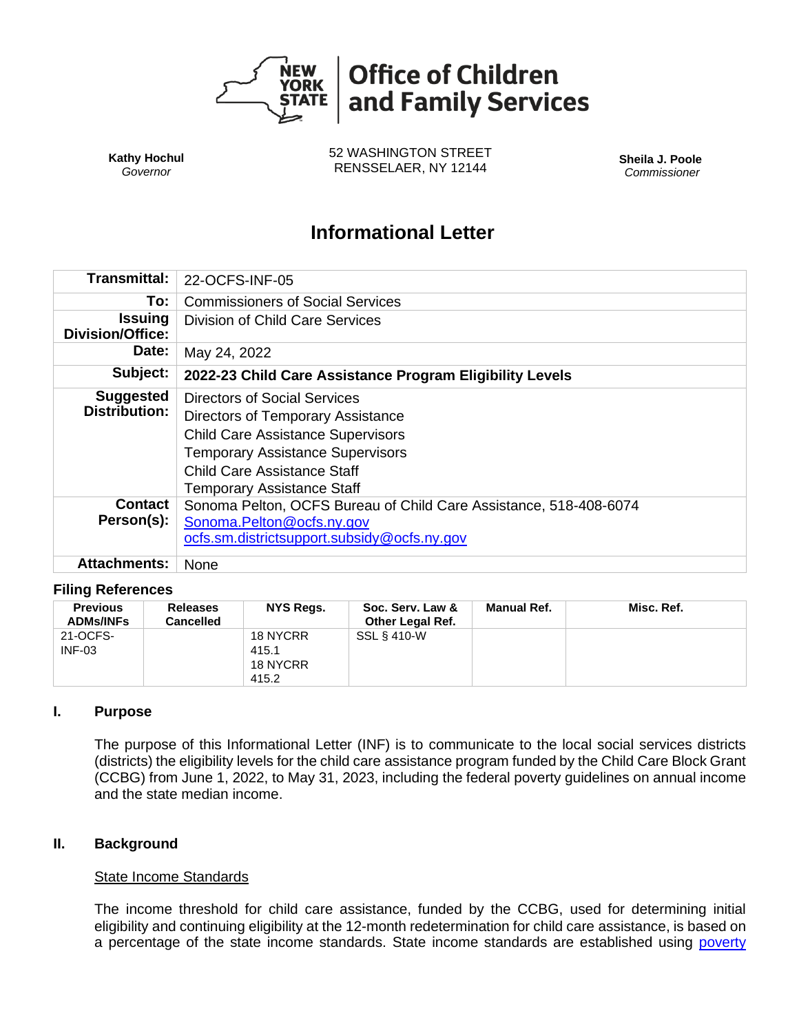

**Kathy Hochul** *Governor*

52 WASHINGTON STREET RENSSELAER, NY 12144 **Sheila J. Poole**

*Commissioner*

# **Informational Letter**

| Transmittal:                              | 22-OCFS-INF-05                                                                                                                                                                                                               |  |  |
|-------------------------------------------|------------------------------------------------------------------------------------------------------------------------------------------------------------------------------------------------------------------------------|--|--|
| To:                                       | <b>Commissioners of Social Services</b>                                                                                                                                                                                      |  |  |
| <b>Issuing</b><br><b>Division/Office:</b> | Division of Child Care Services                                                                                                                                                                                              |  |  |
| Date:                                     | May 24, 2022                                                                                                                                                                                                                 |  |  |
| Subject:                                  | 2022-23 Child Care Assistance Program Eligibility Levels                                                                                                                                                                     |  |  |
| <b>Suggested</b><br><b>Distribution:</b>  | Directors of Social Services<br>Directors of Temporary Assistance<br><b>Child Care Assistance Supervisors</b><br><b>Temporary Assistance Supervisors</b><br>Child Care Assistance Staff<br><b>Temporary Assistance Staff</b> |  |  |
| Contact<br>Person(s):                     | Sonoma Pelton, OCFS Bureau of Child Care Assistance, 518-408-6074<br>Sonoma.Pelton@ocfs.ny.gov<br>ocfs.sm.districtsupport.subsidy@ocfs.ny.gov                                                                                |  |  |
| <b>Attachments:</b>                       | None                                                                                                                                                                                                                         |  |  |

#### **Filing References**

| <b>Previous</b><br><b>ADMs/INFs</b> | <b>Releases</b><br>Cancelled | NYS Regs.                              | Soc. Serv. Law &<br><b>Other Legal Ref.</b> | <b>Manual Ref.</b> | Misc. Ref. |
|-------------------------------------|------------------------------|----------------------------------------|---------------------------------------------|--------------------|------------|
| 21-OCFS-<br>$INF-03$                |                              | 18 NYCRR<br>415.1<br>18 NYCRR<br>415.2 | SSL § 410-W                                 |                    |            |

#### **I. Purpose**

The purpose of this Informational Letter (INF) is to communicate to the local social services districts (districts) the eligibility levels for the child care assistance program funded by the Child Care Block Grant (CCBG) from June 1, 2022, to May 31, 2023, including the federal poverty guidelines on annual income and the state median income.

#### **II. Background**

#### State Income Standards

The income threshold for child care assistance, funded by the CCBG, used for determining initial eligibility and continuing eligibility at the 12-month redetermination for child care assistance, is based on a percentage of the state income standards. State income standards are established using poverty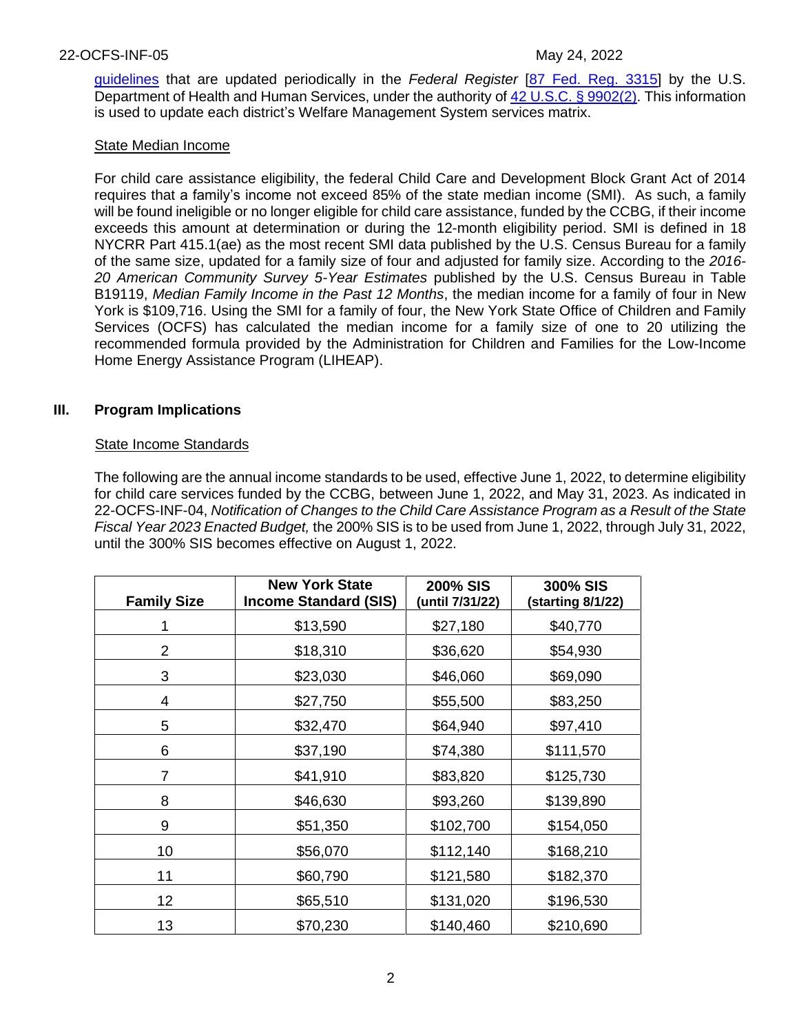[guidelines](https://www.federalregister.gov/documents/2022/01/21/2022-01166/annual-update-of-the-hhs-poverty-guidelines) that are updated periodically in the *Federal Register* [\[87 Fed. Reg. 3315\]](https://www.govinfo.gov/content/pkg/FR-2022-01-21/pdf/2022-01166.pdf) by the U.S. Department of Health and Human Services, under the authority of [42 U.S.C. § 9902\(2\).](https://www.gpo.gov/fdsys/pkg/USCODE-2015-title42/html/USCODE-2015-title42-chap106-sec9902.htm) This information is used to update each district's Welfare Management System services matrix.

## State Median Income

For child care assistance eligibility, the federal Child Care and Development Block Grant Act of 2014 requires that a family's income not exceed 85% of the state median income (SMI). As such, a family will be found ineligible or no longer eligible for child care assistance, funded by the CCBG, if their income exceeds this amount at determination or during the 12-month eligibility period. SMI is defined in 18 NYCRR Part 415.1(ae) as the most recent SMI data published by the U.S. Census Bureau for a family of the same size, updated for a family size of four and adjusted for family size. According to the *2016- 20 American Community Survey 5-Year Estimates* published by the U.S. Census Bureau in Table B19119, *Median Family Income in the Past 12 Months*, the median income for a family of four in New York is \$109,716. Using the SMI for a family of four, the New York State Office of Children and Family Services (OCFS) has calculated the median income for a family size of one to 20 utilizing the recommended formula provided by the Administration for Children and Families for the Low-Income Home Energy Assistance Program (LIHEAP).

# **III. Program Implications**

## State Income Standards

The following are the annual income standards to be used, effective June 1, 2022, to determine eligibility for child care services funded by the CCBG, between June 1, 2022, and May 31, 2023. As indicated in 22-OCFS-INF-04, *Notification of Changes to the Child Care Assistance Program as a Result of the State Fiscal Year 2023 Enacted Budget,* the 200% SIS is to be used from June 1, 2022, through July 31, 2022, until the 300% SIS becomes effective on August 1, 2022.

| <b>Family Size</b> | <b>New York State</b><br><b>Income Standard (SIS)</b> | <b>200% SIS</b><br>(until 7/31/22) | 300% SIS<br>(starting 8/1/22) |
|--------------------|-------------------------------------------------------|------------------------------------|-------------------------------|
|                    | \$13,590                                              | \$27,180                           | \$40,770                      |
| 2                  | \$18,310                                              | \$36,620                           | \$54,930                      |
| 3                  | \$23,030                                              | \$46,060                           | \$69,090                      |
| 4                  | \$27,750                                              | \$55,500                           | \$83,250                      |
| 5                  | \$32,470                                              | \$64,940                           | \$97,410                      |
| 6                  | \$37,190                                              | \$74,380                           | \$111,570                     |
| 7                  | \$41,910                                              | \$83,820                           | \$125,730                     |
| 8                  | \$46,630                                              | \$93,260                           | \$139,890                     |
| 9                  | \$51,350                                              | \$102,700                          | \$154,050                     |
| 10                 | \$56,070                                              | \$112,140                          | \$168,210                     |
| 11                 | \$60,790                                              | \$121,580                          | \$182,370                     |
| 12                 | \$65,510                                              | \$131,020                          | \$196,530                     |
| 13                 | \$70,230                                              | \$140,460                          | \$210,690                     |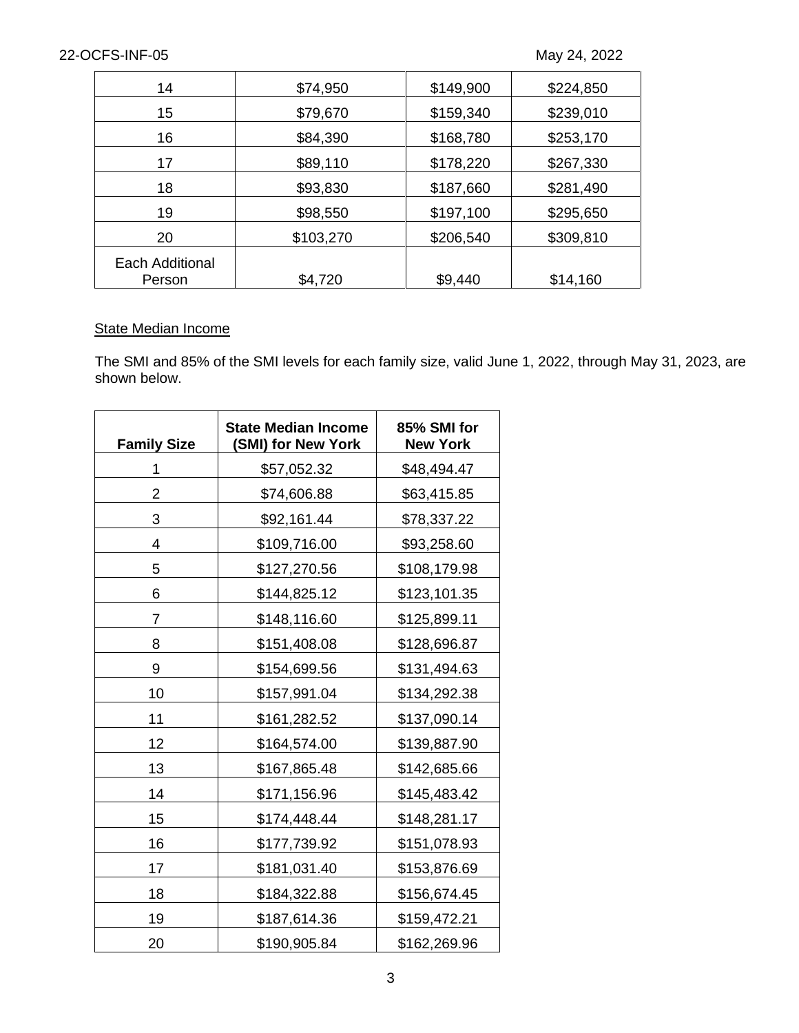| 14                        | \$74,950  | \$149,900 | \$224,850 |
|---------------------------|-----------|-----------|-----------|
| 15                        | \$79,670  | \$159,340 | \$239,010 |
| 16                        | \$84,390  | \$168,780 | \$253,170 |
| 17                        | \$89,110  | \$178,220 | \$267,330 |
| 18                        | \$93,830  | \$187,660 | \$281,490 |
| 19                        | \$98,550  | \$197,100 | \$295,650 |
| 20                        | \$103,270 | \$206,540 | \$309,810 |
| Each Additional<br>Person | \$4,720   | \$9,440   | \$14,160  |

## **State Median Income**

The SMI and 85% of the SMI levels for each family size, valid June 1, 2022, through May 31, 2023, are shown below.

| <b>Family Size</b> | <b>State Median Income</b><br>(SMI) for New York | 85% SMI for<br><b>New York</b> |
|--------------------|--------------------------------------------------|--------------------------------|
| 1                  | \$57,052.32                                      | \$48,494.47                    |
| 2                  | \$74,606.88                                      | \$63,415.85                    |
| 3                  | \$92,161.44                                      | \$78,337.22                    |
| 4                  | \$109,716.00                                     | \$93,258.60                    |
| 5                  | \$127,270.56                                     | \$108,179.98                   |
| 6                  | \$144,825.12                                     | \$123,101.35                   |
| $\overline{7}$     | \$148,116.60                                     | \$125,899.11                   |
| 8                  | \$151,408.08                                     | \$128,696.87                   |
| 9                  | \$154,699.56                                     | \$131,494.63                   |
| 10                 | \$157,991.04                                     | \$134,292.38                   |
| 11                 | \$161,282.52                                     | \$137,090.14                   |
| 12                 | \$164,574.00                                     | \$139,887.90                   |
| 13                 | \$167,865.48                                     | \$142,685.66                   |
| 14                 | \$171,156.96                                     | \$145,483.42                   |
| 15                 | \$174,448.44                                     | \$148,281.17                   |
| 16                 | \$177,739.92                                     | \$151,078.93                   |
| 17                 | \$181,031.40                                     | \$153,876.69                   |
| 18                 | \$184,322.88                                     | \$156,674.45                   |
| 19                 | \$187,614.36                                     | \$159,472.21                   |
| 20                 | \$190,905.84                                     | \$162,269.96                   |